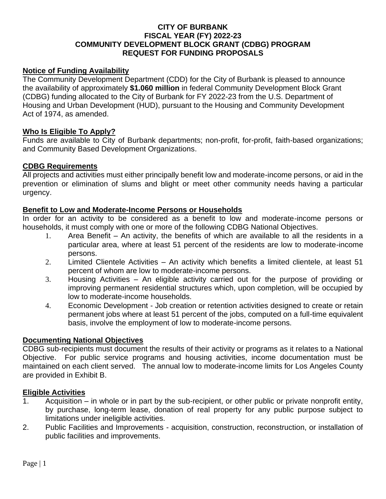### **CITY OF BURBANK FISCAL YEAR (FY) 2022-23 COMMUNITY DEVELOPMENT BLOCK GRANT (CDBG) PROGRAM REQUEST FOR FUNDING PROPOSALS**

### **Notice of Funding Availability**

The Community Development Department (CDD) for the City of Burbank is pleased to announce the availability of approximately **\$1.060 million** in federal Community Development Block Grant (CDBG) funding allocated to the City of Burbank for FY 2022-23 from the U.S. Department of Housing and Urban Development (HUD), pursuant to the Housing and Community Development Act of 1974, as amended.

#### **Who Is Eligible To Apply?**

Funds are available to City of Burbank departments; non-profit, for-profit, faith-based organizations; and Community Based Development Organizations.

#### **CDBG Requirements**

All projects and activities must either principally benefit low and moderate-income persons, or aid in the prevention or elimination of slums and blight or meet other community needs having a particular urgency.

#### **Benefit to Low and Moderate-Income Persons or Households**

In order for an activity to be considered as a benefit to low and moderate-income persons or households, it must comply with one or more of the following CDBG National Objectives.

- 1. Area Benefit An activity, the benefits of which are available to all the residents in a particular area, where at least 51 percent of the residents are low to moderate-income persons.
- 2. Limited Clientele Activities An activity which benefits a limited clientele, at least 51 percent of whom are low to moderate-income persons.
- 3. Housing Activities An eligible activity carried out for the purpose of providing or improving permanent residential structures which, upon completion, will be occupied by low to moderate-income households.
- 4. Economic Development Job creation or retention activities designed to create or retain permanent jobs where at least 51 percent of the jobs, computed on a full-time equivalent basis, involve the employment of low to moderate-income persons.

#### **Documenting National Objectives**

CDBG sub-recipients must document the results of their activity or programs as it relates to a National Objective. For public service programs and housing activities, income documentation must be maintained on each client served. The annual low to moderate-income limits for Los Angeles County are provided in Exhibit B.

#### **Eligible Activities**

- 1. Acquisition in whole or in part by the sub-recipient, or other public or private nonprofit entity, by purchase, long-term lease, donation of real property for any public purpose subject to limitations under ineligible activities.
- 2. Public Facilities and Improvements acquisition, construction, reconstruction, or installation of public facilities and improvements.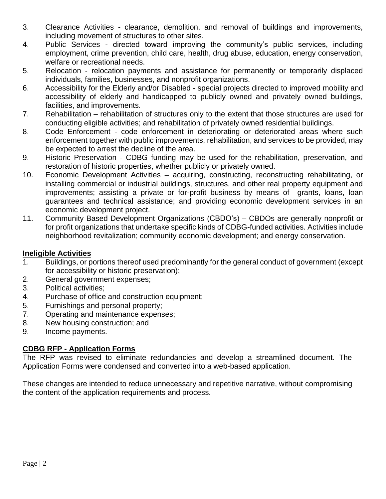- 3. Clearance Activities clearance, demolition, and removal of buildings and improvements, including movement of structures to other sites.
- 4. Public Services directed toward improving the community's public services, including employment, crime prevention, child care, health, drug abuse, education, energy conservation, welfare or recreational needs.
- 5. Relocation relocation payments and assistance for permanently or temporarily displaced individuals, families, businesses, and nonprofit organizations.
- 6. Accessibility for the Elderly and/or Disabled special projects directed to improved mobility and accessibility of elderly and handicapped to publicly owned and privately owned buildings, facilities, and improvements.
- 7. Rehabilitation rehabilitation of structures only to the extent that those structures are used for conducting eligible activities; and rehabilitation of privately owned residential buildings.
- 8. Code Enforcement code enforcement in deteriorating or deteriorated areas where such enforcement together with public improvements, rehabilitation, and services to be provided, may be expected to arrest the decline of the area.
- 9. Historic Preservation CDBG funding may be used for the rehabilitation, preservation, and restoration of historic properties, whether publicly or privately owned.
- 10. Economic Development Activities acquiring, constructing, reconstructing rehabilitating, or installing commercial or industrial buildings, structures, and other real property equipment and improvements; assisting a private or for-profit business by means of grants, loans, loan guarantees and technical assistance; and providing economic development services in an economic development project.
- 11. Community Based Development Organizations (CBDO's) CBDOs are generally nonprofit or for profit organizations that undertake specific kinds of CDBG-funded activities. Activities include neighborhood revitalization; community economic development; and energy conservation.

# **Ineligible Activities**

- 1. Buildings, or portions thereof used predominantly for the general conduct of government (except for accessibility or historic preservation);
- 2. General government expenses;
- 3. Political activities;
- 4. Purchase of office and construction equipment;
- 5. Furnishings and personal property;
- 7. Operating and maintenance expenses;
- 8. New housing construction; and
- 9. Income payments.

# **CDBG RFP - Application Forms**

The RFP was revised to eliminate redundancies and develop a streamlined document. The Application Forms were condensed and converted into a web-based application.

These changes are intended to reduce unnecessary and repetitive narrative, without compromising the content of the application requirements and process.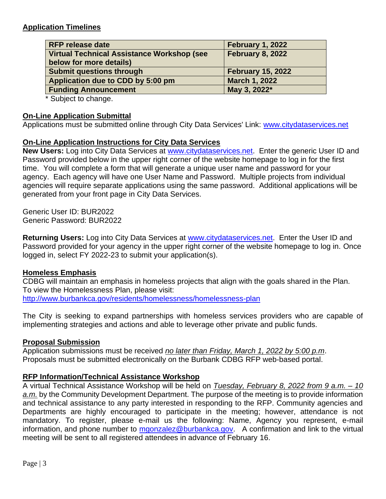## **Application Timelines**

| <b>RFP release date</b>                           | February 1, 2022         |  |  |
|---------------------------------------------------|--------------------------|--|--|
| <b>Virtual Technical Assistance Workshop (see</b> | <b>February 8, 2022</b>  |  |  |
| below for more details)                           |                          |  |  |
| <b>Submit questions through</b>                   | <b>February 15, 2022</b> |  |  |
| Application due to CDD by 5:00 pm                 | <b>March 1, 2022</b>     |  |  |
| <b>Funding Announcement</b>                       | May 3, 2022*             |  |  |

\* Subject to change.

#### **On-Line Application Submittal**

Applications must be submitted online through City Data Services' Link: [www.citydataservices.net](http://www.citydataservices.net/)

#### **On-Line Application Instructions for City Data Services**

**New Users:** Log into City Data Services at [www.citydataservices.net.](http://www.citydataservices.net/) Enter the generic User ID and Password provided below in the upper right corner of the website homepage to log in for the first time. You will complete a form that will generate a unique user name and password for your agency. Each agency will have one User Name and Password. Multiple projects from individual agencies will require separate applications using the same password. Additional applications will be generated from your front page in City Data Services.

Generic User ID: BUR2022 Generic Password: BUR2022

**Returning Users:** Log into City Data Services at [www.citydataservices.net.](http://www.citydataservices.net/) Enter the User ID and Password provided for your agency in the upper right corner of the website homepage to log in. Once logged in, select FY 2022-23 to submit your application(s).

#### **Homeless Emphasis**

CDBG will maintain an emphasis in homeless projects that align with the goals shared in the Plan. To view the Homelessness Plan, please visit: <http://www.burbankca.gov/residents/homelessness/homelessness-plan>

The City is seeking to expand partnerships with homeless services providers who are capable of implementing strategies and actions and able to leverage other private and public funds.

#### **Proposal Submission**

Application submissions must be received *no later than Friday, March 1, 2022 by 5:00 p.m*. Proposals must be submitted electronically on the Burbank CDBG RFP web-based portal.

#### **RFP Information/Technical Assistance Workshop**

A virtual Technical Assistance Workshop will be held on *Tuesday, February 8, 2022 from 9 a.m. – 10 a.m.* by the Community Development Department. The purpose of the meeting is to provide information and technical assistance to any party interested in responding to the RFP. Community agencies and Departments are highly encouraged to participate in the meeting; however, attendance is not mandatory. To register, please e-mail us the following: Name, Agency you represent, e-mail information, and phone number to [mgonzalez@burbankca.gov.](mailto:mgonzalez@burbankca.gov) A confirmation and link to the virtual meeting will be sent to all registered attendees in advance of February 16.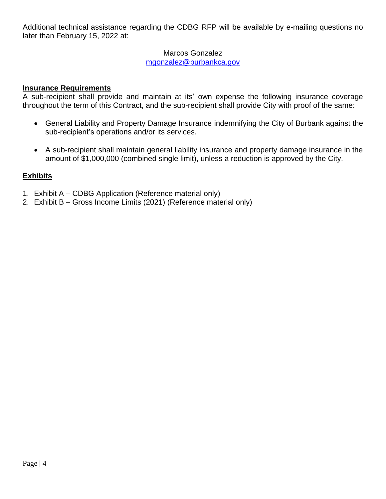Additional technical assistance regarding the CDBG RFP will be available by e-mailing questions no later than February 15, 2022 at:

# Marcos Gonzalez

[mgonzalez@burbankca.gov](mailto:mgonzalez@burbankca.gov)

# **Insurance Requirements**

A sub-recipient shall provide and maintain at its' own expense the following insurance coverage throughout the term of this Contract, and the sub-recipient shall provide City with proof of the same:

- General Liability and Property Damage Insurance indemnifying the City of Burbank against the sub-recipient's operations and/or its services.
- A sub-recipient shall maintain general liability insurance and property damage insurance in the amount of \$1,000,000 (combined single limit), unless a reduction is approved by the City.

# **Exhibits**

- 1. Exhibit A CDBG Application (Reference material only)
- 2. Exhibit B Gross Income Limits (2021) (Reference material only)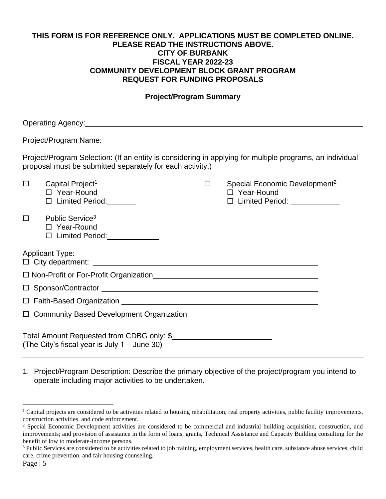#### **THIS FORM IS FOR REFERENCE ONLY. APPLICATIONS MUST BE COMPLETED ONLINE. PLEASE READ THE INSTRUCTIONS ABOVE. CITY OF BURBANK FISCAL YEAR 2022-23 COMMUNITY DEVELOPMENT BLOCK GRANT PROGRAM REQUEST FOR FUNDING PROPOSALS**

#### **Project/Program Summary**

|        | Operating Agency: New York Changes and Changes and Changes and Changes and Changes and Changes and Changes and Changes and Changes and Changes and Changes and Changes and Changes and Changes and Changes and Changes and Cha |                                                                                                       |
|--------|--------------------------------------------------------------------------------------------------------------------------------------------------------------------------------------------------------------------------------|-------------------------------------------------------------------------------------------------------|
|        | Project/Program Name: 2008 2009 2009 2010 2020 2021 2022 2023 2024 2022 2023 2024 2022 2023 2024 2022 2023 20                                                                                                                  |                                                                                                       |
|        | Project/Program Selection: (If an entity is considering in applying for multiple programs, an individual<br>proposal must be submitted separately for each activity.)                                                          |                                                                                                       |
| $\Box$ | Capital Project <sup>1</sup><br>□ Year-Round<br>$\Box$ Limited Period:                                                                                                                                                         | $\square$ Special Economic Development <sup>2</sup><br>□ Year-Round<br>□ Limited Period: ____________ |
| $\Box$ | Public Service <sup>3</sup><br>□ Year-Round<br>□ Limited Period: <u>______________</u>                                                                                                                                         |                                                                                                       |
|        | <b>Applicant Type:</b><br>$\Box$ City department: $\Box$                                                                                                                                                                       |                                                                                                       |
|        | □ Non-Profit or For-Profit Organization<br>□ Non-Profit or For-Profit Organization  □                                                                                                                                          |                                                                                                       |
|        |                                                                                                                                                                                                                                |                                                                                                       |
|        |                                                                                                                                                                                                                                |                                                                                                       |
|        |                                                                                                                                                                                                                                |                                                                                                       |
|        | Total Amount Requested from CDBG only: \$<br>(The City's fiscal year is July 1 - June 30)                                                                                                                                      |                                                                                                       |

1. Project/Program Description: Describe the primary objective of the project/program you intend to operate including major activities to be undertaken.

 $1$  Capital projects are considered to be activities related to housing rehabilitation, real property activities, public facility improvements, construction activities, and code enforcement.

<sup>&</sup>lt;sup>2</sup> Special Economic Development activities are considered to be commercial and industrial building acquisition, construction, and improvements; and provision of assistance in the form of loans, grants, Technical Assistance and Capacity Building consulting for the benefit of low to moderate-income persons.

<sup>&</sup>lt;sup>3</sup> Public Services are considered to be activities related to job training, employment services, health care, substance abuse services, child care, crime prevention, and fair housing counseling.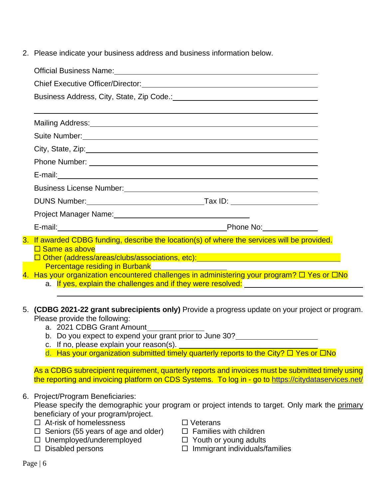2. Please indicate your business address and business information below.

| Official Business Name: <u>Cambridge Community of the Community of the Community of the Community of the Community of the Community of the Community of the Community of the Community of the Community of the Community of the </u> |  |  |  |  |
|--------------------------------------------------------------------------------------------------------------------------------------------------------------------------------------------------------------------------------------|--|--|--|--|
|                                                                                                                                                                                                                                      |  |  |  |  |
|                                                                                                                                                                                                                                      |  |  |  |  |
|                                                                                                                                                                                                                                      |  |  |  |  |
| Mailing Address: Manual Manual Manual Manual Manual Manual Manual Manual Manual Manual Manual Manual Manual Ma                                                                                                                       |  |  |  |  |
| Suite Number: Van Andrew March 1999 (1999) and the Suite Number of the Suite Number of the Suite Africa and the Suite Africa and the Suite Africa and the Suite Africa and the Suite Africa and the Suite Africa and the Suite       |  |  |  |  |
|                                                                                                                                                                                                                                      |  |  |  |  |
|                                                                                                                                                                                                                                      |  |  |  |  |
| E-mail: <b>E-mail:</b> All and the contract of the contract of the contract of the contract of the contract of the contract of the contract of the contract of the contract of the contract of the contract of the contract of the   |  |  |  |  |
|                                                                                                                                                                                                                                      |  |  |  |  |
|                                                                                                                                                                                                                                      |  |  |  |  |
| Project Manager Name: 1997 Manual Manager Name: 1997                                                                                                                                                                                 |  |  |  |  |
| E-mail: Phone No: Phone No:                                                                                                                                                                                                          |  |  |  |  |
| 3. If awarded CDBG funding, describe the location(s) of where the services will be provided.                                                                                                                                         |  |  |  |  |
| $\square$ Same as above                                                                                                                                                                                                              |  |  |  |  |
| Percentage residing in Burbank Manuel Manuel Alexander Contractor                                                                                                                                                                    |  |  |  |  |
| 4. Has your organization encountered challenges in administering your program? $\Box$ Yes or $\Box$ No                                                                                                                               |  |  |  |  |
| a. If yes, explain the challenges and if they were resolved: <u>The Community of the contract</u>                                                                                                                                    |  |  |  |  |

- 5. **(CDBG 2021-22 grant subrecipients only)** Provide a progress update on your project or program. Please provide the following:
	- a. 2021 CDBG Grant Amount
	- b. Do you expect to expend your grant prior to June 30?
	- c. If no, please explain your reason(s).
	- d. Has your organization submitted timely quarterly reports to the City?  $\Box$  Yes or  $\Box$  No

As a CDBG subrecipient requirement, quarterly reports and invoices must be submitted timely using the reporting and invoicing platform on CDS Systems. To log in - go to<https://citydataservices.net/>

6. Project/Program Beneficiaries:

Please specify the demographic your program or project intends to target. Only mark the primary beneficiary of your program/project.

- $\Box$  At-risk of homelessness  $\Box$  Veterans
- $\Box$  Seniors (55 years of age and older)  $\Box$  Families with children
- $\Box$  Unemployed/underemployed  $\Box$  Youth or young adults
	-
- 
- 
- 
- $\square$  Disabled persons  $\square$  Immigrant individuals/families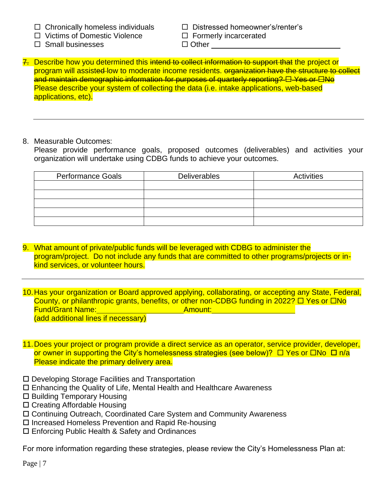- $\Box$  Chronically homeless individuals  $\Box$  Distressed homeowner's/renter's
- $\Box$  Victims of Domestic Violence  $\Box$  Formerly incarcerated
- $\Box$  Small businesses  $\Box$  Other

- 
- 7. Describe how you determined this intend to collect information to support that the project or program will assisted low to moderate income residents. organization have the structure to collect and maintain demographic information for purposes of quarterly reporting?  $\boxdot$  Yes or  $\boxdot$ No Please describe your system of collecting the data (i.e. intake applications, web-based applications, etc).
- 8. Measurable Outcomes:

Please provide performance goals, proposed outcomes (deliverables) and activities your organization will undertake using CDBG funds to achieve your outcomes.

| <b>Performance Goals</b> | <b>Deliverables</b> | Activities |  |  |
|--------------------------|---------------------|------------|--|--|
|                          |                     |            |  |  |
|                          |                     |            |  |  |
|                          |                     |            |  |  |
|                          |                     |            |  |  |
|                          |                     |            |  |  |

- 9. What amount of private/public funds will be leveraged with CDBG to administer the program/project. Do not include any funds that are committed to other programs/projects or inkind services, or volunteer hours.
- 10.Has your organization or Board approved applying, collaborating, or accepting any State, Federal, County, or philanthropic grants, benefits, or other non-CDBG funding in 2022?  $\Box$  Yes or  $\Box$ No **Fund/Grant Name:** Amount: Amount: Amount: Amount: Amount: Amount: Amount: Amount: Amount: Amount: Amount: Amount: Amount: Amount: Amount: Amount: Amount: Amount: Amount: Amount: Amount: Amount: Amount: Amount: Amount: Amo (add additional lines if necessary)
- 11.Does your project or program provide a direct service as an operator, service provider, developer, or owner in supporting the City's homelessness strategies (see below)?  $\Box$  Yes or  $\Box$ No  $\Box$  n/a Please indicate the primary delivery area.
- □ Developing Storage Facilities and Transportation
- Enhancing the Quality of Life, Mental Health and Healthcare Awareness
- $\square$  Building Temporary Housing
- □ Creating Affordable Housing
- Continuing Outreach, Coordinated Care System and Community Awareness
- □ Increased Homeless Prevention and Rapid Re-housing
- Enforcing Public Health & Safety and Ordinances

For more information regarding these strategies, please review the City's Homelessness Plan at: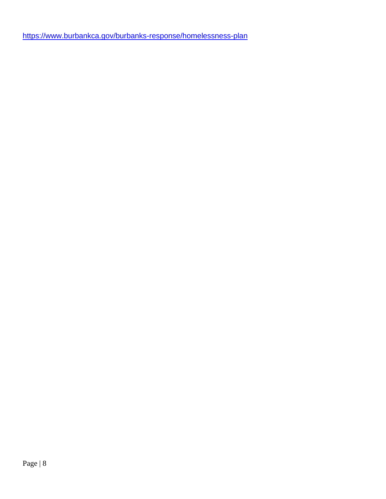<https://www.burbankca.gov/burbanks-response/homelessness-plan>